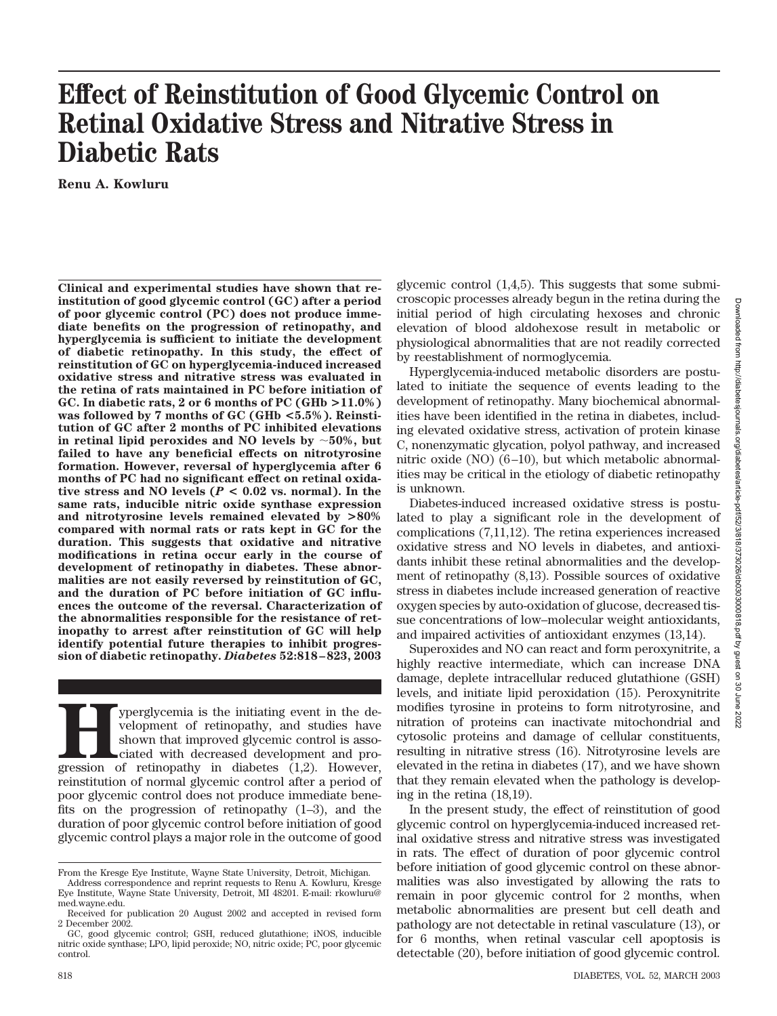# Downloaded from http://diabetesjournals.org/diabetes/article-pdf/52/3/818/373026/db03030000818.pdf by guest on 30 Downloaded from http://diabetesjournals.org/diabetes/article-pdf/52/3/818/373026/db0303000818.pdf by guest on 30 June 2022June: 2022

# **Effect of Reinstitution of Good Glycemic Control on Retinal Oxidative Stress and Nitrative Stress in Diabetic Rats**

**Renu A. Kowluru**

**Clinical and experimental studies have shown that reinstitution of good glycemic control (GC) after a period of poor glycemic control (PC) does not produce immediate benefits on the progression of retinopathy, and hyperglycemia is sufficient to initiate the development of diabetic retinopathy. In this study, the effect of reinstitution of GC on hyperglycemia-induced increased oxidative stress and nitrative stress was evaluated in the retina of rats maintained in PC before initiation of GC. In diabetic rats, 2 or 6 months of PC (GHb >11.0%) was followed by 7 months of GC (GHb <5.5%). Reinstitution of GC after 2 months of PC inhibited elevations** in retinal lipid peroxides and NO levels by  $~50\%$ , but **failed to have any beneficial effects on nitrotyrosine formation. However, reversal of hyperglycemia after 6 months of PC had no significant effect on retinal oxidative stress and NO levels (***P* **< 0.02 vs. normal). In the same rats, inducible nitric oxide synthase expression and nitrotyrosine levels remained elevated by >80% compared with normal rats or rats kept in GC for the duration. This suggests that oxidative and nitrative modifications in retina occur early in the course of development of retinopathy in diabetes. These abnormalities are not easily reversed by reinstitution of GC, and the duration of PC before initiation of GC influences the outcome of the reversal. Characterization of the abnormalities responsible for the resistance of retinopathy to arrest after reinstitution of GC will help identify potential future therapies to inhibit progression of diabetic retinopathy.** *Diabetes* **52:818–823, 2003**

**Hyperglycemia is the initiating event in the development of retinopathy, and studies have shown that improved glycemic control is associated with decreased development and progression of retinopathy in diabetes (1,2). How** velopment of retinopathy, and studies have shown that improved glycemic control is associated with decreased development and proreinstitution of normal glycemic control after a period of poor glycemic control does not produce immediate benefits on the progression of retinopathy (1–3), and the duration of poor glycemic control before initiation of good glycemic control plays a major role in the outcome of good

glycemic control (1,4,5). This suggests that some submicroscopic processes already begun in the retina during the initial period of high circulating hexoses and chronic elevation of blood aldohexose result in metabolic or physiological abnormalities that are not readily corrected by reestablishment of normoglycemia.

Hyperglycemia-induced metabolic disorders are postulated to initiate the sequence of events leading to the development of retinopathy. Many biochemical abnormalities have been identified in the retina in diabetes, including elevated oxidative stress, activation of protein kinase C, nonenzymatic glycation, polyol pathway, and increased nitric oxide (NO) (6–10), but which metabolic abnormalities may be critical in the etiology of diabetic retinopathy is unknown.

Diabetes-induced increased oxidative stress is postulated to play a significant role in the development of complications (7,11,12). The retina experiences increased oxidative stress and NO levels in diabetes, and antioxidants inhibit these retinal abnormalities and the development of retinopathy (8,13). Possible sources of oxidative stress in diabetes include increased generation of reactive oxygen species by auto-oxidation of glucose, decreased tissue concentrations of low–molecular weight antioxidants, and impaired activities of antioxidant enzymes (13,14).

Superoxides and NO can react and form peroxynitrite, a highly reactive intermediate, which can increase DNA damage, deplete intracellular reduced glutathione (GSH) levels, and initiate lipid peroxidation (15). Peroxynitrite modifies tyrosine in proteins to form nitrotyrosine, and nitration of proteins can inactivate mitochondrial and cytosolic proteins and damage of cellular constituents, resulting in nitrative stress (16). Nitrotyrosine levels are elevated in the retina in diabetes (17), and we have shown that they remain elevated when the pathology is developing in the retina (18,19).

In the present study, the effect of reinstitution of good glycemic control on hyperglycemia-induced increased retinal oxidative stress and nitrative stress was investigated in rats. The effect of duration of poor glycemic control before initiation of good glycemic control on these abnormalities was also investigated by allowing the rats to remain in poor glycemic control for 2 months, when metabolic abnormalities are present but cell death and pathology are not detectable in retinal vasculature (13), or for 6 months, when retinal vascular cell apoptosis is detectable (20), before initiation of good glycemic control.

From the Kresge Eye Institute, Wayne State University, Detroit, Michigan.

Address correspondence and reprint requests to Renu A. Kowluru, Kresge Eye Institute, Wayne State University, Detroit, MI 48201. E-mail: rkowluru@ med.wayne.edu.

Received for publication 20 August 2002 and accepted in revised form 2 December 2002.

GC, good glycemic control; GSH, reduced glutathione; iNOS, inducible nitric oxide synthase; LPO, lipid peroxide; NO, nitric oxide; PC, poor glycemic control.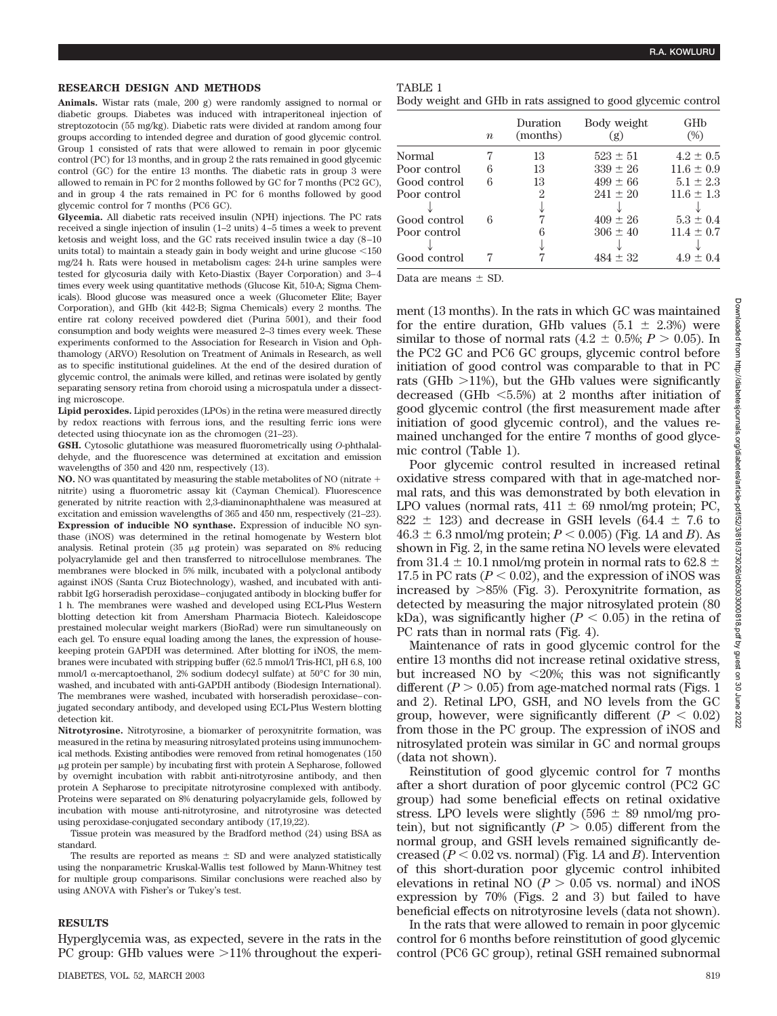### **RESEARCH DESIGN AND METHODS**

**Animals.** Wistar rats (male, 200 g) were randomly assigned to normal or diabetic groups. Diabetes was induced with intraperitoneal injection of streptozotocin (55 mg/kg). Diabetic rats were divided at random among four groups according to intended degree and duration of good glycemic control. Group 1 consisted of rats that were allowed to remain in poor glycemic control (PC) for 13 months, and in group 2 the rats remained in good glycemic control (GC) for the entire 13 months. The diabetic rats in group 3 were allowed to remain in PC for 2 months followed by GC for 7 months (PC2 GC), and in group 4 the rats remained in PC for 6 months followed by good glycemic control for 7 months (PC6 GC).

**Glycemia.** All diabetic rats received insulin (NPH) injections. The PC rats received a single injection of insulin (1–2 units) 4–5 times a week to prevent ketosis and weight loss, and the GC rats received insulin twice a day (8–10 units total) to maintain a steady gain in body weight and urine glucose  $<$ 150 mg/24 h. Rats were housed in metabolism cages: 24-h urine samples were tested for glycosuria daily with Keto-Diastix (Bayer Corporation) and 3–4 times every week using quantitative methods (Glucose Kit, 510-A; Sigma Chemicals). Blood glucose was measured once a week (Glucometer Elite; Bayer Corporation), and GHb (kit 442-B; Sigma Chemicals) every 2 months. The entire rat colony received powdered diet (Purina 5001), and their food consumption and body weights were measured 2–3 times every week. These experiments conformed to the Association for Research in Vision and Ophthamology (ARVO) Resolution on Treatment of Animals in Research, as well as to specific institutional guidelines. At the end of the desired duration of glycemic control, the animals were killed, and retinas were isolated by gently separating sensory retina from choroid using a microspatula under a dissecting microscope.

**Lipid peroxides.** Lipid peroxides (LPOs) in the retina were measured directly by redox reactions with ferrous ions, and the resulting ferric ions were detected using thiocynate ion as the chromogen (21–23).

**GSH.** Cytosolic glutathione was measured fluorometrically using *O*-phthalaldehyde, and the fluorescence was determined at excitation and emission wavelengths of 350 and 420 nm, respectively (13).

**NO.** NO was quantitated by measuring the stable metabolites of NO (nitrate nitrite) using a fluorometric assay kit (Cayman Chemical). Fluorescence generated by nitrite reaction with 2,3-diaminonaphthalene was measured at excitation and emission wavelengths of 365 and 450 nm, respectively (21–23). **Expression of inducible NO synthase.** Expression of inducible NO synthase (iNOS) was determined in the retinal homogenate by Western blot analysis. Retinal protein  $(35 \mu g)$  protein) was separated on 8% reducing polyacrylamide gel and then transferred to nitrocellulose membranes. The membranes were blocked in 5% milk, incubated with a polyclonal antibody against iNOS (Santa Cruz Biotechnology), washed, and incubated with antirabbit IgG horseradish peroxidase–conjugated antibody in blocking buffer for 1 h. The membranes were washed and developed using ECL-Plus Western blotting detection kit from Amersham Pharmacia Biotech. Kaleidoscope prestained molecular weight markers (BioRad) were run simultaneously on each gel. To ensure equal loading among the lanes, the expression of housekeeping protein GAPDH was determined. After blotting for iNOS, the membranes were incubated with stripping buffer (62.5 mmol/l Tris-HCl, pH 6.8, 100 mmol/l  $\alpha$ -mercaptoethanol, 2% sodium dodecyl sulfate) at 50°C for 30 min, washed, and incubated with anti-GAPDH antibody (Biodesign International). The membranes were washed, incubated with horseradish peroxidase–conjugated secondary antibody, and developed using ECL-Plus Western blotting detection kit.

**Nitrotyrosine.** Nitrotyrosine, a biomarker of peroxynitrite formation, was measured in the retina by measuring nitrosylated proteins using immunochemical methods. Existing antibodies were removed from retinal homogenates (150 g protein per sample) by incubating first with protein A Sepharose, followed by overnight incubation with rabbit anti-nitrotyrosine antibody, and then protein A Sepharose to precipitate nitrotyrosine complexed with antibody. Proteins were separated on 8% denaturing polyacrylamide gels, followed by incubation with mouse anti-nitrotyrosine, and nitrotyrosine was detected using peroxidase-conjugated secondary antibody (17,19,22).

Tissue protein was measured by the Bradford method (24) using BSA as standard.

The results are reported as means  $\pm$  SD and were analyzed statistically using the nonparametric Kruskal-Wallis test followed by Mann-Whitney test for multiple group comparisons. Similar conclusions were reached also by using ANOVA with Fisher's or Tukey's test.

### **RESULTS**

Hyperglycemia was, as expected, severe in the rats in the PC group: GHb values were  $>11\%$  throughout the experi-

|  | ж. |  |
|--|----|--|
|--|----|--|

Body weight and GHb in rats assigned to good glycemic control

|              | $\boldsymbol{n}$ | Duration<br>(months) | Body weight<br>(g) | GHb<br>$(\%)$  |
|--------------|------------------|----------------------|--------------------|----------------|
| Normal       |                  | 13                   | $523 \pm 51$       | $4.2 \pm 0.5$  |
| Poor control | 6                | 13                   | $339 \pm 26$       | $11.6 \pm 0.9$ |
| Good control | 6                | 13                   | $499 \pm 66$       | $5.1 \pm 2.3$  |
| Poor control |                  | 2                    | $241 \pm 20$       | $11.6 \pm 1.3$ |
|              |                  |                      |                    |                |
| Good control | 6                |                      | $409 \pm 26$       | $5.3 \pm 0.4$  |
| Poor control |                  |                      | $306 \pm 40$       | $11.4 \pm 0.7$ |
|              |                  |                      |                    |                |
| Good control |                  |                      | $484 + 32$         | $4.9 \pm 0.4$  |

Data are means  $\pm$  SD.

ment (13 months). In the rats in which GC was maintained for the entire duration, GHb values  $(5.1 \pm 2.3%)$  were similar to those of normal rats  $(4.2 \pm 0.5\%; P > 0.05)$ . In the PC2 GC and PC6 GC groups, glycemic control before initiation of good control was comparable to that in PC rats (GHb  $>$ 11%), but the GHb values were significantly decreased (GHb -5.5%) at 2 months after initiation of good glycemic control (the first measurement made after initiation of good glycemic control), and the values remained unchanged for the entire 7 months of good glycemic control (Table 1).

Poor glycemic control resulted in increased retinal oxidative stress compared with that in age-matched normal rats, and this was demonstrated by both elevation in LPO values (normal rats,  $411 \pm 69$  nmol/mg protein; PC, 822  $\pm$  123) and decrease in GSH levels (64.4  $\pm$  7.6 to  $46.3 \pm 6.3$  nmol/mg protein;  $P < 0.005$ ) (Fig. 1A and *B*). As shown in Fig. 2, in the same retina NO levels were elevated from 31.4  $\pm$  10.1 nmol/mg protein in normal rats to 62.8  $\pm$ 17.5 in PC rats  $(P < 0.02)$ , and the expression of iNOS was increased by  $>85\%$  (Fig. 3). Peroxynitrite formation, as detected by measuring the major nitrosylated protein (80 kDa), was significantly higher  $(P < 0.05)$  in the retina of PC rats than in normal rats (Fig. 4).

Maintenance of rats in good glycemic control for the entire 13 months did not increase retinal oxidative stress, but increased NO by  $\langle 20\% ;$  this was not significantly different  $(P > 0.05)$  from age-matched normal rats (Figs. 1) and 2). Retinal LPO, GSH, and NO levels from the GC group, however, were significantly different  $(P < 0.02)$ from those in the PC group. The expression of iNOS and nitrosylated protein was similar in GC and normal groups (data not shown).

Reinstitution of good glycemic control for 7 months after a short duration of poor glycemic control (PC2 GC group) had some beneficial effects on retinal oxidative stress. LPO levels were slightly  $(596 \pm 89 \text{ nmol/mg pro-}$ tein), but not significantly  $(P > 0.05)$  different from the normal group, and GSH levels remained significantly decreased  $(P < 0.02$  vs. normal) (Fig. 1A and *B*). Intervention of this short-duration poor glycemic control inhibited elevations in retinal NO ( $P > 0.05$  vs. normal) and iNOS expression by 70% (Figs. 2 and 3) but failed to have beneficial effects on nitrotyrosine levels (data not shown).

In the rats that were allowed to remain in poor glycemic control for 6 months before reinstitution of good glycemic control (PC6 GC group), retinal GSH remained subnormal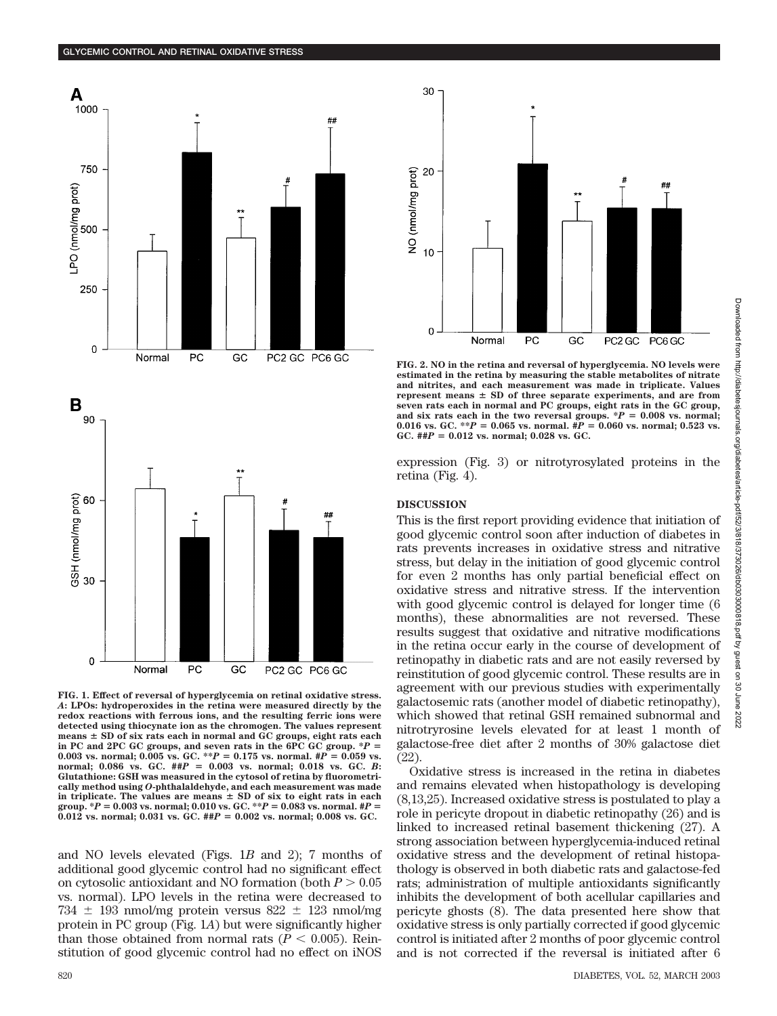



**FIG. 1. Effect of reversal of hyperglycemia on retinal oxidative stress.** *A***: LPOs: hydroperoxides in the retina were measured directly by the redox reactions with ferrous ions, and the resulting ferric ions were detected using thiocynate ion as the chromogen. The values represent means SD of six rats each in normal and GC groups, eight rats each in PC and 2PC GC groups, and seven rats in the 6PC GC group. \****P* - 0.003 vs. normal; 0.005 vs. GC. \*\* $P = 0.175$  vs. normal.  $\#P = 0.059$  vs. **normal; 0.086 vs. GC. ##***P* - **0.003 vs. normal; 0.018 vs. GC.** *B***: Glutathione: GSH was measured in the cytosol of retina by fluorometrically method using** *O***-phthalaldehyde, and each measurement was made** in triplicate. The values are means  $\pm$  SD of six to eight rats in each **group. \****P* - **0.003 vs. normal; 0.010 vs. GC. \*\****P* - **0.083 vs. normal. #***P* - **0.012 vs. normal; 0.031 vs. GC. ##***P* - **0.002 vs. normal; 0.008 vs. GC.**

and NO levels elevated (Figs. 1*B* and 2); 7 months of additional good glycemic control had no significant effect on cytosolic antioxidant and NO formation (both  $P > 0.05$ vs. normal). LPO levels in the retina were decreased to  $734 \pm 193$  nmol/mg protein versus  $822 \pm 123$  nmol/mg protein in PC group (Fig. 1*A*) but were significantly higher than those obtained from normal rats  $(P < 0.005)$ . Reinstitution of good glycemic control had no effect on iNOS



**FIG. 2. NO in the retina and reversal of hyperglycemia. NO levels were estimated in the retina by measuring the stable metabolites of nitrate and nitrites, and each measurement was made in triplicate. Values** represent means  $\pm$  SD of three separate experiments, and are from **seven rats each in normal and PC groups, eight rats in the GC group,** and six rats each in the two reversal groups.  $^*P = 0.008$  vs. normal; 0.016 vs. GC. \*\* $P = 0.065$  vs. normal.  $\#P = 0.060$  vs. normal; 0.523 vs.  $GC.$  ## $P = 0.012$  vs. normal; 0.028 vs. GC.

expression (Fig. 3) or nitrotyrosylated proteins in the retina (Fig. 4).

### **DISCUSSION**

This is the first report providing evidence that initiation of good glycemic control soon after induction of diabetes in rats prevents increases in oxidative stress and nitrative stress, but delay in the initiation of good glycemic control for even 2 months has only partial beneficial effect on oxidative stress and nitrative stress. If the intervention with good glycemic control is delayed for longer time (6 months), these abnormalities are not reversed. These results suggest that oxidative and nitrative modifications in the retina occur early in the course of development of retinopathy in diabetic rats and are not easily reversed by reinstitution of good glycemic control. These results are in agreement with our previous studies with experimentally galactosemic rats (another model of diabetic retinopathy), which showed that retinal GSH remained subnormal and nitrotryrosine levels elevated for at least 1 month of galactose-free diet after 2 months of 30% galactose diet (22).

Oxidative stress is increased in the retina in diabetes and remains elevated when histopathology is developing (8,13,25). Increased oxidative stress is postulated to play a role in pericyte dropout in diabetic retinopathy (26) and is linked to increased retinal basement thickening (27). A strong association between hyperglycemia-induced retinal oxidative stress and the development of retinal histopathology is observed in both diabetic rats and galactose-fed rats; administration of multiple antioxidants significantly inhibits the development of both acellular capillaries and pericyte ghosts (8). The data presented here show that oxidative stress is only partially corrected if good glycemic control is initiated after 2 months of poor glycemic control and is not corrected if the reversal is initiated after 6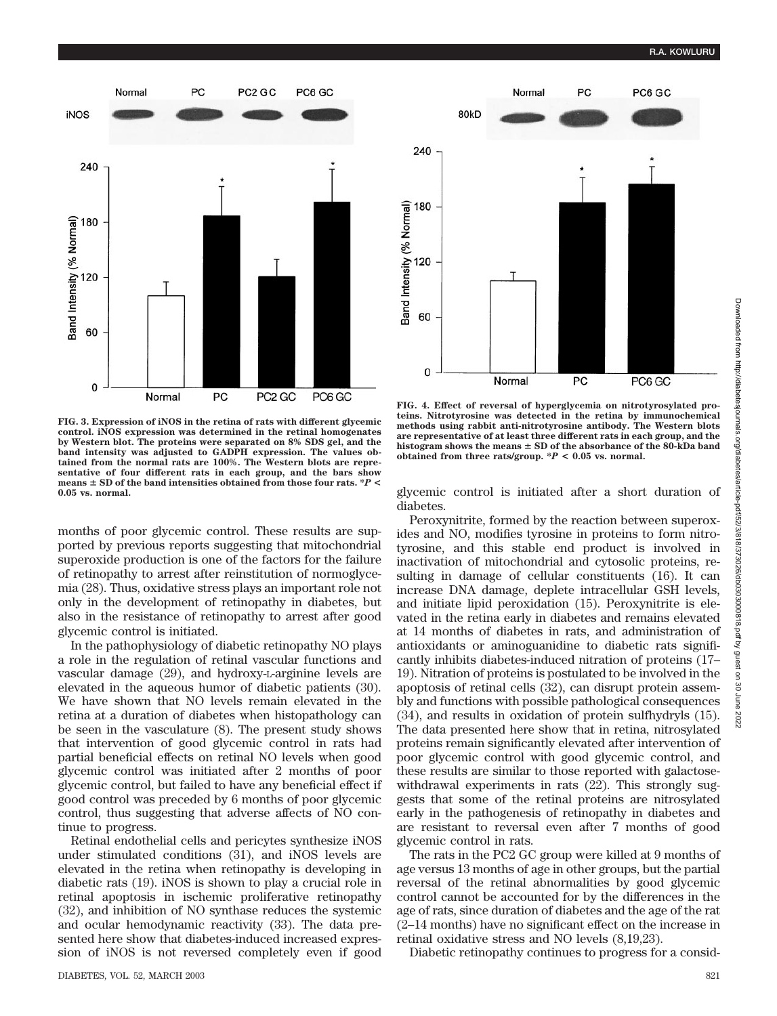

**FIG. 3. Expression of iNOS in the retina of rats with different glycemic control. iNOS expression was determined in the retinal homogenates by Western blot. The proteins were separated on 8% SDS gel, and the band intensity was adjusted to GADPH expression. The values obtained from the normal rats are 100%. The Western blots are representative of four different rats in each group, and the bars show means SD of the band intensities obtained from those four rats. \****P* **< 0.05 vs. normal.**

months of poor glycemic control. These results are supported by previous reports suggesting that mitochondrial superoxide production is one of the factors for the failure of retinopathy to arrest after reinstitution of normoglycemia (28). Thus, oxidative stress plays an important role not only in the development of retinopathy in diabetes, but also in the resistance of retinopathy to arrest after good glycemic control is initiated.

In the pathophysiology of diabetic retinopathy NO plays a role in the regulation of retinal vascular functions and vascular damage (29), and hydroxy-L-arginine levels are elevated in the aqueous humor of diabetic patients (30). We have shown that NO levels remain elevated in the retina at a duration of diabetes when histopathology can be seen in the vasculature (8). The present study shows that intervention of good glycemic control in rats had partial beneficial effects on retinal NO levels when good glycemic control was initiated after 2 months of poor glycemic control, but failed to have any beneficial effect if good control was preceded by 6 months of poor glycemic control, thus suggesting that adverse affects of NO continue to progress.

Retinal endothelial cells and pericytes synthesize iNOS under stimulated conditions (31), and iNOS levels are elevated in the retina when retinopathy is developing in diabetic rats (19). iNOS is shown to play a crucial role in retinal apoptosis in ischemic proliferative retinopathy (32), and inhibition of NO synthase reduces the systemic and ocular hemodynamic reactivity (33). The data presented here show that diabetes-induced increased expression of iNOS is not reversed completely even if good



**FIG. 4. Effect of reversal of hyperglycemia on nitrotyrosylated proteins. Nitrotyrosine was detected in the retina by immunochemical methods using rabbit anti-nitrotyrosine antibody. The Western blots are representative of at least three different rats in each group, and the histogram shows the means SD of the absorbance of the 80-kDa band obtained from three rats/group. \****P* **< 0.05 vs. normal.**

glycemic control is initiated after a short duration of diabetes.

Peroxynitrite, formed by the reaction between superoxides and NO, modifies tyrosine in proteins to form nitrotyrosine, and this stable end product is involved in inactivation of mitochondrial and cytosolic proteins, resulting in damage of cellular constituents (16). It can increase DNA damage, deplete intracellular GSH levels, and initiate lipid peroxidation (15). Peroxynitrite is elevated in the retina early in diabetes and remains elevated at 14 months of diabetes in rats, and administration of antioxidants or aminoguanidine to diabetic rats significantly inhibits diabetes-induced nitration of proteins (17– 19). Nitration of proteins is postulated to be involved in the apoptosis of retinal cells (32), can disrupt protein assembly and functions with possible pathological consequences (34), and results in oxidation of protein sulfhydryls (15). The data presented here show that in retina, nitrosylated proteins remain significantly elevated after intervention of poor glycemic control with good glycemic control, and these results are similar to those reported with galactosewithdrawal experiments in rats  $(22)$ . This strongly suggests that some of the retinal proteins are nitrosylated early in the pathogenesis of retinopathy in diabetes and are resistant to reversal even after 7 months of good glycemic control in rats.

The rats in the PC2 GC group were killed at 9 months of age versus 13 months of age in other groups, but the partial reversal of the retinal abnormalities by good glycemic control cannot be accounted for by the differences in the age of rats, since duration of diabetes and the age of the rat (2–14 months) have no significant effect on the increase in retinal oxidative stress and NO levels (8,19,23).

Diabetic retinopathy continues to progress for a consid-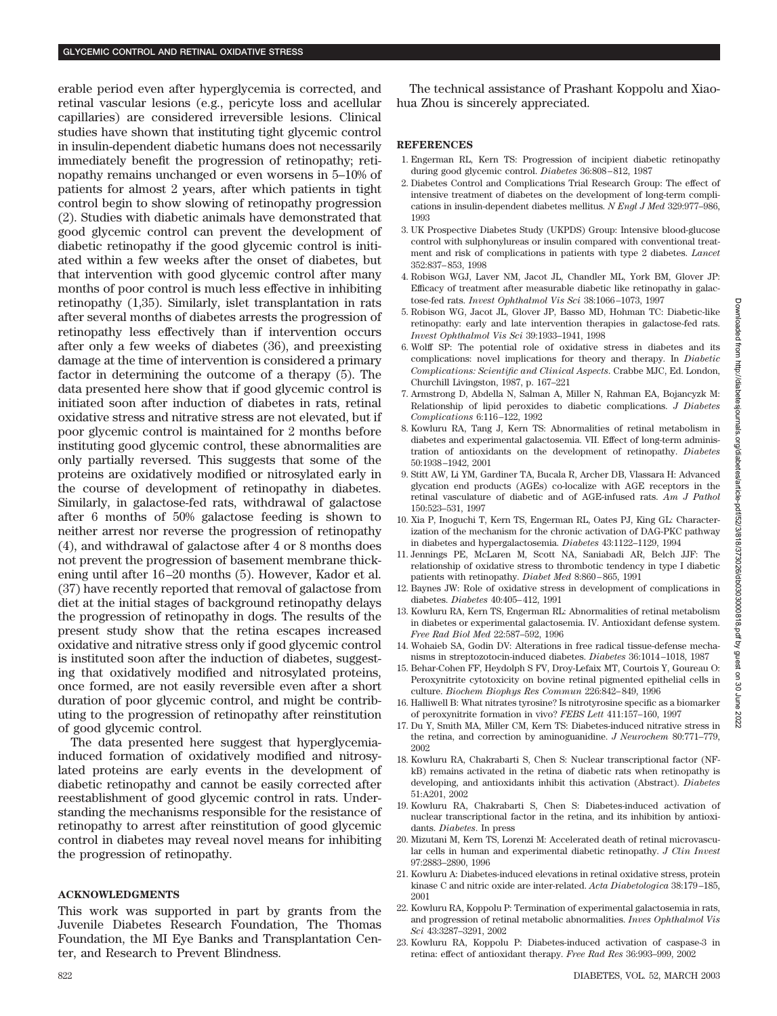erable period even after hyperglycemia is corrected, and retinal vascular lesions (e.g., pericyte loss and acellular capillaries) are considered irreversible lesions. Clinical studies have shown that instituting tight glycemic control in insulin-dependent diabetic humans does not necessarily immediately benefit the progression of retinopathy; retinopathy remains unchanged or even worsens in 5–10% of patients for almost 2 years, after which patients in tight control begin to show slowing of retinopathy progression (2). Studies with diabetic animals have demonstrated that good glycemic control can prevent the development of diabetic retinopathy if the good glycemic control is initiated within a few weeks after the onset of diabetes, but that intervention with good glycemic control after many months of poor control is much less effective in inhibiting retinopathy (1,35). Similarly, islet transplantation in rats after several months of diabetes arrests the progression of retinopathy less effectively than if intervention occurs after only a few weeks of diabetes (36), and preexisting damage at the time of intervention is considered a primary factor in determining the outcome of a therapy (5). The data presented here show that if good glycemic control is initiated soon after induction of diabetes in rats, retinal oxidative stress and nitrative stress are not elevated, but if poor glycemic control is maintained for 2 months before instituting good glycemic control, these abnormalities are only partially reversed. This suggests that some of the proteins are oxidatively modified or nitrosylated early in the course of development of retinopathy in diabetes. Similarly, in galactose-fed rats, withdrawal of galactose after 6 months of 50% galactose feeding is shown to neither arrest nor reverse the progression of retinopathy (4), and withdrawal of galactose after 4 or 8 months does not prevent the progression of basement membrane thickening until after 16–20 months (5). However, Kador et al. (37) have recently reported that removal of galactose from diet at the initial stages of background retinopathy delays the progression of retinopathy in dogs. The results of the present study show that the retina escapes increased oxidative and nitrative stress only if good glycemic control is instituted soon after the induction of diabetes, suggesting that oxidatively modified and nitrosylated proteins, once formed, are not easily reversible even after a short duration of poor glycemic control, and might be contributing to the progression of retinopathy after reinstitution of good glycemic control.

The data presented here suggest that hyperglycemiainduced formation of oxidatively modified and nitrosylated proteins are early events in the development of diabetic retinopathy and cannot be easily corrected after reestablishment of good glycemic control in rats. Understanding the mechanisms responsible for the resistance of retinopathy to arrest after reinstitution of good glycemic control in diabetes may reveal novel means for inhibiting the progression of retinopathy.

# **ACKNOWLEDGMENTS**

This work was supported in part by grants from the Juvenile Diabetes Research Foundation, The Thomas Foundation, the MI Eye Banks and Transplantation Center, and Research to Prevent Blindness.

The technical assistance of Prashant Koppolu and Xiaohua Zhou is sincerely appreciated.

# **REFERENCES**

- 1. Engerman RL, Kern TS: Progression of incipient diabetic retinopathy during good glycemic control. *Diabetes* 36:808–812, 1987
- 2. Diabetes Control and Complications Trial Research Group: The effect of intensive treatment of diabetes on the development of long-term complications in insulin-dependent diabetes mellitus. *N Engl J Med* 329:977–986, 1993
- 3. UK Prospective Diabetes Study (UKPDS) Group: Intensive blood-glucose control with sulphonylureas or insulin compared with conventional treatment and risk of complications in patients with type 2 diabetes. *Lancet* 352:837–853, 1998
- 4. Robison WGJ, Laver NM, Jacot JL, Chandler ML, York BM, Glover JP: Efficacy of treatment after measurable diabetic like retinopathy in galactose-fed rats. *Invest Ophthalmol Vis Sci* 38:1066–1073, 1997
- 5. Robison WG, Jacot JL, Glover JP, Basso MD, Hohman TC: Diabetic-like retinopathy: early and late intervention therapies in galactose-fed rats. *Invest Ophthalmol Vis Sci* 39:1933–1941, 1998
- 6. Wolff SP: The potential role of oxidative stress in diabetes and its complications: novel implications for theory and therapy. In *Diabetic Complications: Scientific and Clinical Aspects*. Crabbe MJC, Ed. London, Churchill Livingston, 1987, p. 167–221
- 7. Armstrong D, Abdella N, Salman A, Miller N, Rahman EA, Bojancyzk M: Relationship of lipid peroxides to diabetic complications. *J Diabetes Complications* 6:116–122, 1992
- 8. Kowluru RA, Tang J, Kern TS: Abnormalities of retinal metabolism in diabetes and experimental galactosemia. VII. Effect of long-term administration of antioxidants on the development of retinopathy. *Diabetes* 50:1938–1942, 2001
- 9. Stitt AW, Li YM, Gardiner TA, Bucala R, Archer DB, Vlassara H: Advanced glycation end products (AGEs) co-localize with AGE receptors in the retinal vasculature of diabetic and of AGE-infused rats. *Am J Pathol* 150:523–531, 1997
- 10. Xia P, Inoguchi T, Kern TS, Engerman RL, Oates PJ, King GL: Characterization of the mechanism for the chronic activation of DAG-PKC pathway in diabetes and hypergalactosemia. *Diabetes* 43:1122–1129, 1994
- 11. Jennings PE, McLaren M, Scott NA, Saniabadi AR, Belch JJF: The relationship of oxidative stress to thrombotic tendency in type I diabetic patients with retinopathy. *Diabet Med* 8:860–865, 1991
- 12. Baynes JW: Role of oxidative stress in development of complications in diabetes. *Diabetes* 40:405–412, 1991
- 13. Kowluru RA, Kern TS, Engerman RL: Abnormalities of retinal metabolism in diabetes or experimental galactosemia. IV. Antioxidant defense system. *Free Rad Biol Med* 22:587–592, 1996
- 14. Wohaieb SA, Godin DV: Alterations in free radical tissue-defense mechanisms in streptozotocin-induced diabetes. *Diabetes* 36:1014–1018, 1987
- 15. Behar-Cohen FF, Heydolph S FV, Droy-Lefaix MT, Courtois Y, Goureau O: Peroxynitrite cytotoxicity on bovine retinal pigmented epithelial cells in culture. *Biochem Biophys Res Commun* 226:842–849, 1996
- 16. Halliwell B: What nitrates tyrosine? Is nitrotyrosine specific as a biomarker of peroxynitrite formation in vivo? *FEBS Lett* 411:157–160, 1997
- 17. Du Y, Smith MA, Miller CM, Kern TS: Diabetes-induced nitrative stress in the retina, and correction by aminoguanidine. *J Neurochem* 80:771–779, 2002
- 18. Kowluru RA, Chakrabarti S, Chen S: Nuclear transcriptional factor (NFkB) remains activated in the retina of diabetic rats when retinopathy is developing, and antioxidants inhibit this activation (Abstract). *Diabetes* 51:A201, 2002
- 19. Kowluru RA, Chakrabarti S, Chen S: Diabetes-induced activation of nuclear transcriptional factor in the retina, and its inhibition by antioxidants. *Diabetes*. In press
- 20. Mizutani M, Kern TS, Lorenzi M: Accelerated death of retinal microvascular cells in human and experimental diabetic retinopathy. *J Clin Invest* 97:2883–2890, 1996
- 21. Kowluru A: Diabetes-induced elevations in retinal oxidative stress, protein kinase C and nitric oxide are inter-related. *Acta Diabetologica* 38:179–185, 2001
- 22. Kowluru RA, Koppolu P: Termination of experimental galactosemia in rats, and progression of retinal metabolic abnormalities. *Inves Ophthalmol Vis Sci* 43:3287–3291, 2002
- 23. Kowluru RA, Koppolu P: Diabetes-induced activation of caspase-3 in retina: effect of antioxidant therapy. *Free Rad Res* 36:993–999, 2002